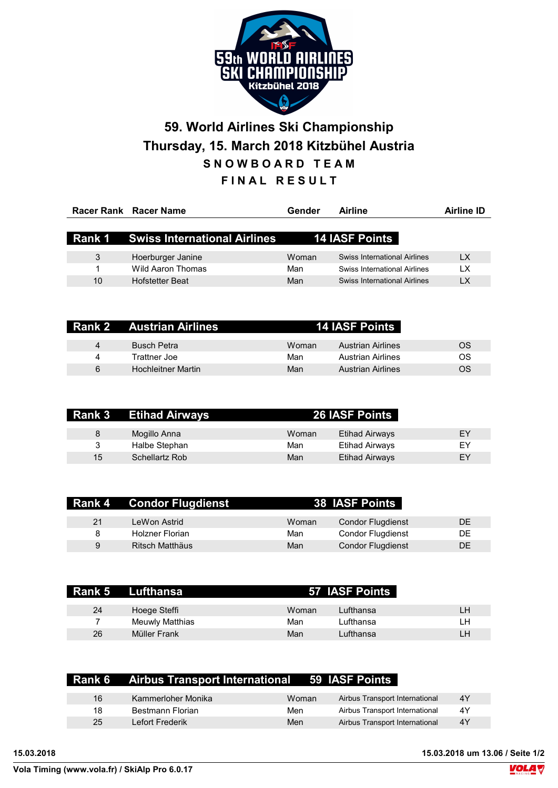

## 59. World Airlines Ski Championship Thursday, 15. March 2018 Kitzbühel Austria SNOWBOARD TEAM FINAL RESULT

|    | Racer Rank Racer Name                      | Gender | Airline                      | Airline ID |
|----|--------------------------------------------|--------|------------------------------|------------|
|    |                                            |        |                              |            |
|    | <b>Rank 1 Swiss International Airlines</b> |        | <b>14 IASF Points</b>        |            |
|    |                                            |        |                              |            |
| 3  | Hoerburger Janine                          | Woman  | Swiss International Airlines | LX         |
|    | Wild Aaron Thomas                          | Man    | Swiss International Airlines | LХ         |
| 10 | <b>Hofstetter Beat</b>                     | Man    | Swiss International Airlines | LX         |
|    |                                            |        |                              |            |

|   | <b>Rank 2 Austrian Airlines</b> |       | <b>14 IASF Points</b>    |    |
|---|---------------------------------|-------|--------------------------|----|
| 4 | <b>Busch Petra</b>              | Woman | Austrian Airlines        | OS |
| 4 | Trattner Joe                    | Man   | <b>Austrian Airlines</b> | OS |
| 6 | <b>Hochleitner Martin</b>       | Man   | <b>Austrian Airlines</b> | OS |

| Rank 3 | <b>Etihad Airways</b> |       | <b>26 IASF Points</b> |    |
|--------|-----------------------|-------|-----------------------|----|
| 8      | Mogillo Anna          | Woman | Etihad Airways        | EY |
| 3      | Halbe Stephan         | Man   | Etihad Airways        | EY |
| 15     | Schellartz Rob        | Man   | Etihad Airways        | EY |

| <b>Rank 4</b> | Condor Flugdienst |       | <b>38 IASF Points</b>    |     |
|---------------|-------------------|-------|--------------------------|-----|
| 21            | LeWon Astrid      | Woman | <b>Condor Flugdienst</b> | DE. |
| 8             | Holzner Florian   | Man   | <b>Condor Flugdienst</b> | DE. |
| 9             | Ritsch Matthäus   | Man   | <b>Condor Flugdienst</b> | DE  |

|    | Rank 5 Lufthansa |       | 57 IASF Points |     |
|----|------------------|-------|----------------|-----|
| 24 | Hoege Steffi     | Woman | Lufthansa      | I H |
|    | Meuwly Matthias  | Man   | Lufthansa      | 1 H |
| 26 | Müller Frank     | Man   | Lufthansa      | 1 H |

|    | <b>Rank 6</b> Airbus Transport International 59 IASF Points |       |                                |    |
|----|-------------------------------------------------------------|-------|--------------------------------|----|
| 16 | Kammerloher Monika                                          | Woman | Airbus Transport International | 4Y |
| 18 | Bestmann Florian                                            | Men   | Airbus Transport International | 4Y |
| 25 | I efort Frederik                                            | Men   | Airbus Transport International | 4Y |
|    |                                                             |       |                                |    |

15.03.2018 15.03.2018 um 13.06 / Seite 1/2